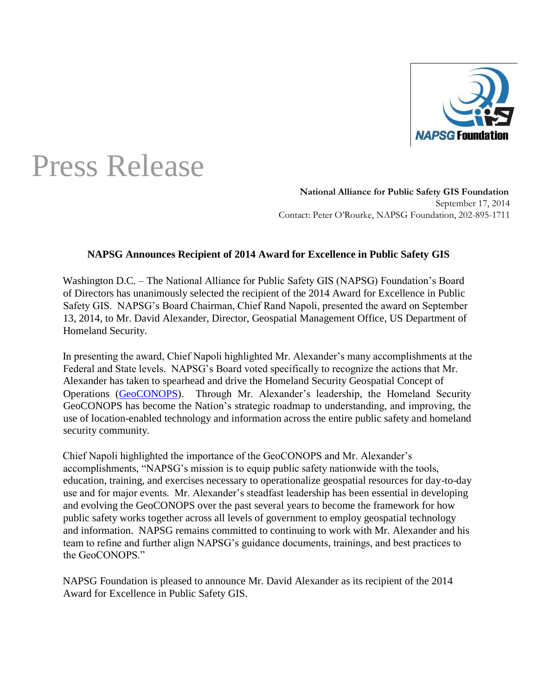

## Press Release

**National Alliance for Public Safety GIS Foundation**  September 17, 2014 Contact: Peter O'Rourke, NAPSG Foundation, 202-895-1711

## **NAPSG Announces Recipient of 2014 Award for Excellence in Public Safety GIS**

Washington D.C. – The National Alliance for Public Safety GIS (NAPSG) Foundation's Board of Directors has unanimously selected the recipient of the 2014 Award for Excellence in Public Safety GIS. NAPSG's Board Chairman, Chief Rand Napoli, presented the award on September 13, 2014, to Mr. David Alexander, Director, Geospatial Management Office, US Department of Homeland Security.

In presenting the award, Chief Napoli highlighted Mr. Alexander's many accomplishments at the Federal and State levels. NAPSG's Board voted specifically to recognize the actions that Mr. Alexander has taken to spearhead and drive the Homeland Security Geospatial Concept of Operations [\(GeoCONOPS\).](https://www.geoplatform.gov/geoconops-home) Through Mr. Alexander's leadership, the Homeland Security GeoCONOPS has become the Nation's strategic roadmap to understanding, and improving, the use of location-enabled technology and information across the entire public safety and homeland security community.

Chief Napoli highlighted the importance of the GeoCONOPS and Mr. Alexander's accomplishments, "NAPSG's mission is to equip public safety nationwide with the tools, education, training, and exercises necessary to operationalize geospatial resources for day-to-day use and for major events. Mr. Alexander's steadfast leadership has been essential in developing and evolving the GeoCONOPS over the past several years to become the framework for how public safety works together across all levels of government to employ geospatial technology and information. NAPSG remains committed to continuing to work with Mr. Alexander and his team to refine and further align NAPSG's guidance documents, trainings, and best practices to the GeoCONOPS."

NAPSG Foundation is pleased to announce Mr. David Alexander as its recipient of the 2014 Award for Excellence in Public Safety GIS.